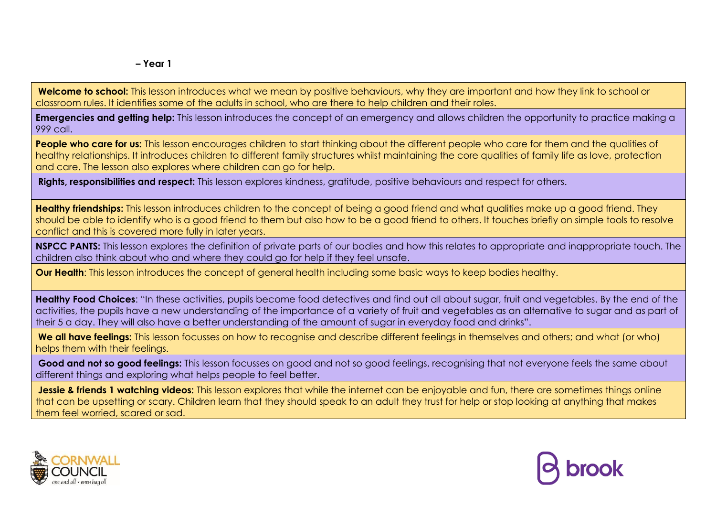**Welcome to school:** This lesson introduces what we mean by positive behaviours, why they are important and how they link to school or classroom rules. It identifies some of the adults in school, who are there to help children and their roles.

**Emergencies and getting help:** This lesson introduces the concept of an emergency and allows children the opportunity to practice making a 999 call.

People who care for us: This lesson encourages children to start thinking about the different people who care for them and the qualities of healthy relationships. It introduces children to different family structures whilst maintaining the core qualities of family life as love, protection and care. The lesson also explores where children can go for help.

**Rights, responsibilities and respect:** This lesson explores kindness, gratitude, positive behaviours and respect for others.

**Healthy friendships:** This lesson introduces children to the concept of being a good friend and what qualities make up a good friend. They should be able to identify who is a good friend to them but also how to be a good friend to others. It touches briefly on simple tools to resolve conflict and this is covered more fully in later years.

**NSPCC PANTS:** This lesson explores the definition of private parts of our bodies and how this relates to appropriate and inappropriate touch. The children also think about who and where they could go for help if they feel unsafe.

**Our Health**: This lesson introduces the concept of general health including some basic ways to keep bodies healthy.

**Healthy Food Choices**: "In these activities, pupils become food detectives and find out all about sugar, fruit and vegetables. By the end of the activities, the pupils have a new understanding of the importance of a variety of fruit and vegetables as an alternative to sugar and as part of their 5 a day. They will also have a better understanding of the amount of sugar in everyday food and drinks".

**We all have feelings:** This lesson focusses on how to recognise and describe different feelings in themselves and others; and what (or who) helps them with their feelings.

Good and not so good feelings: This lesson focusses on good and not so good feelings, recognising that not everyone feels the same about different things and exploring what helps people to feel better.

Jessie & friends 1 watching videos: This lesson explores that while the internet can be enjoyable and fun, there are sometimes things online that can be upsetting or scary. Children learn that they should speak to an adult they trust for help or stop looking at anything that makes them feel worried, scared or sad.



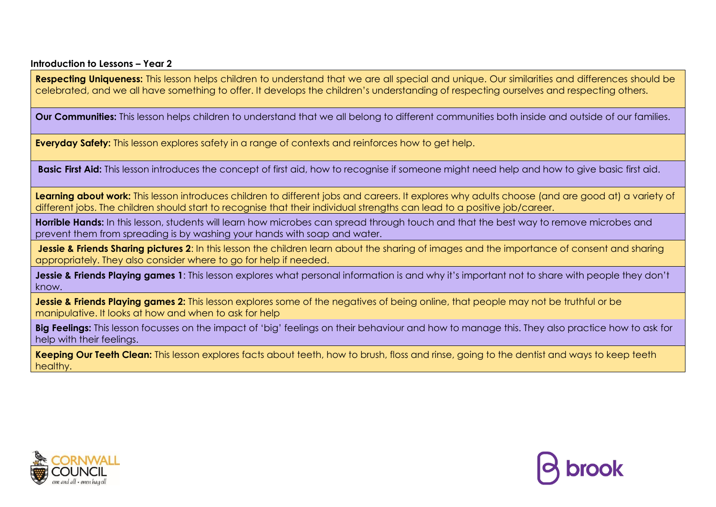**Respecting Uniqueness:** This lesson helps children to understand that we are all special and unique. Our similarities and differences should be celebrated, and we all have something to offer. It develops the children's understanding of respecting ourselves and respecting others.

**Our Communities:** This lesson helps children to understand that we all belong to different communities both inside and outside of our families.

**Everyday Safety:** This lesson explores safety in a range of contexts and reinforces how to get help.

**Basic First Aid:** This lesson introduces the concept of first aid, how to recognise if someone might need help and how to give basic first aid.

**Learning about work:** This lesson introduces children to different jobs and careers. It explores why adults choose (and are good at) a variety of different jobs. The children should start to recognise that their individual strengths can lead to a positive job/career.

**Horrible Hands:** In this lesson, students will learn how microbes can spread through touch and that the best way to remove microbes and prevent them from spreading is by washing your hands with soap and water.

**Jessie & Friends Sharing pictures 2:** In this lesson the children learn about the sharing of images and the importance of consent and sharing appropriately. They also consider where to go for help if needed.

**Jessie & Friends Playing games 1**: This lesson explores what personal information is and why it's important not to share with people they don't know.

**Jessie & Friends Playing games 2:** This lesson explores some of the negatives of being online, that people may not be truthful or be manipulative. It looks at how and when to ask for help

**Big Feelings:** This lesson focusses on the impact of 'big' feelings on their behaviour and how to manage this. They also practice how to ask for help with their feelings.

**Keeping Our Teeth Clean:** This lesson explores facts about teeth, how to brush, floss and rinse, going to the dentist and ways to keep teeth healthy.



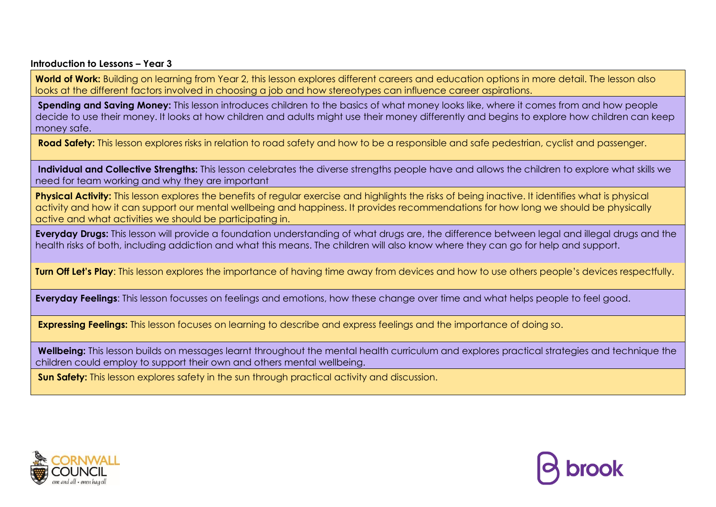World of Work: Building on learning from Year 2, this lesson explores different careers and education options in more detail. The lesson also looks at the different factors involved in choosing a job and how stereotypes can influence career aspirations.

**Spending and Saving Money:** This lesson introduces children to the basics of what money looks like, where it comes from and how people decide to use their money. It looks at how children and adults might use their money differently and begins to explore how children can keep money safe.

**Road Safety:** This lesson explores risks in relation to road safety and how to be a responsible and safe pedestrian, cyclist and passenger.

**Individual and Collective Strengths:** This lesson celebrates the diverse strengths people have and allows the children to explore what skills we need for team working and why they are important

**Physical Activity:** This lesson explores the benefits of regular exercise and highlights the risks of being inactive. It identifies what is physical activity and how it can support our mental wellbeing and happiness. It provides recommendations for how long we should be physically active and what activities we should be participating in.

**Everyday Drugs:** This lesson will provide a foundation understanding of what drugs are, the difference between legal and illegal drugs and the health risks of both, including addiction and what this means. The children will also know where they can go for help and support.

**Turn Off Let's Play**: This lesson explores the importance of having time away from devices and how to use others people's devices respectfully.

**Everyday Feelings**: This lesson focusses on feelings and emotions, how these change over time and what helps people to feel good.

**Expressing Feelings:** This lesson focuses on learning to describe and express feelings and the importance of doing so.

**Wellbeing:** This lesson builds on messages learnt throughout the mental health curriculum and explores practical strategies and technique the children could employ to support their own and others mental wellbeing.

**Sun Safety:** This lesson explores safety in the sun through practical activity and discussion.



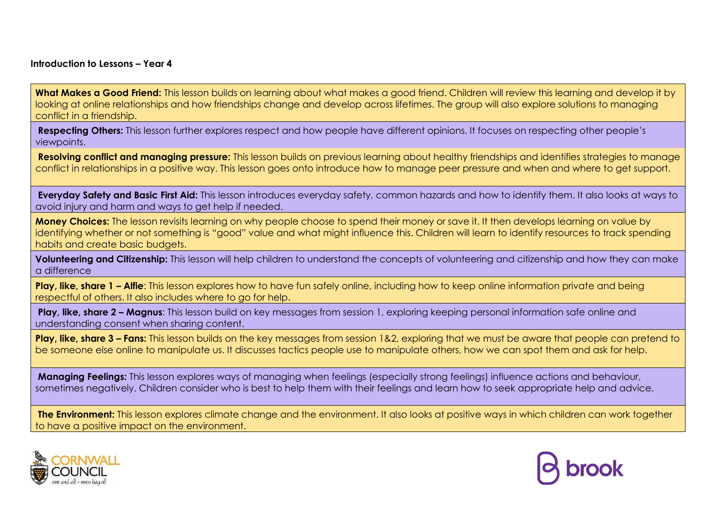What Makes a Good Friend: This lesson builds on learning about what makes a good friend. Children will review this learning and develop it by looking at online relationships and how friendships change and develop across lifetimes. The group will also explore solutions to managing conflict in a friendship.

**Respecting Others:** This lesson further explores respect and how people have different opinions. It focuses on respecting other people's viewpoints.

**Resolving conflict and managing pressure:** This lesson builds on previous learning about healthy friendships and identifies strategies to manage conflict in relationships in a positive way. This lesson goes onto introduce how to manage peer pressure and when and where to get support.

**Everyday Safety and Basic First Aid:** This lesson introduces everyday safety, common hazards and how to identify them. It also looks at ways to avoid injury and harm and ways to get help if needed.

**Money Choices:** The lesson revisits learning on why people choose to spend their money or save it. It then develops learning on value by identifying whether or not something is "good" value and what might influence this. Children will learn to identify resources to track spending habits and create basic budgets.

**Volunteering and Citizenship:** This lesson will help children to understand the concepts of volunteering and citizenship and how they can make a difference

**Play, like, share 1 – Alfie:** This lesson explores how to have fun safely online, including how to keep online information private and being respectful of others. It also includes where to go for help.

**Play, like, share 2 – Magnus**: This lesson build on key messages from session 1, exploring keeping personal information safe online and understanding consent when sharing content.

**Play, like, share 3 – Fans:** This lesson builds on the key messages from session 1&2, exploring that we must be aware that people can pretend to be someone else online to manipulate us. It discusses tactics people use to manipulate others, how we can spot them and ask for help.

**Managing Feelings:** This lesson explores ways of managing when feelings (especially strong feelings) influence actions and behaviour, sometimes negatively. Children consider who is best to help them with their feelings and learn how to seek appropriate help and advice.

**The Environment:** This lesson explores climate change and the environment. It also looks at positive ways in which children can work together to have a positive impact on the environment.



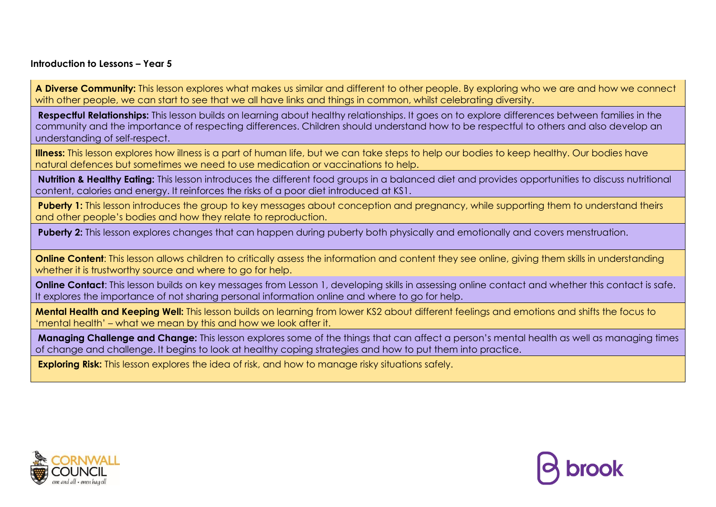**A Diverse Community:** This lesson explores what makes us similar and different to other people. By exploring who we are and how we connect with other people, we can start to see that we all have links and thinas in common, whilst celebrating diversity.

**Respectful Relationships:** This lesson builds on learning about healthy relationships. It goes on to explore differences between families in the community and the importance of respecting differences. Children should understand how to be respectful to others and also develop an understanding of self-respect.

**Illness:** This lesson explores how illness is a part of human life, but we can take steps to help our bodies to keep healthy. Our bodies have natural defences but sometimes we need to use medication or vaccinations to help.

**Nutrition & Healthy Eating:** This lesson introduces the different food groups in a balanced diet and provides opportunities to discuss nutritional content, calories and energy. It reinforces the risks of a poor diet introduced at KS1.

Puberty 1: This lesson introduces the group to key messages about conception and pregnancy, while supporting them to understand theirs and other people's bodies and how they relate to reproduction.

**Puberty 2:** This lesson explores changes that can happen during puberty both physically and emotionally and covers menstruation.

**Online Content**: This lesson allows children to critically assess the information and content they see online, giving them skills in understanding whether it is trustworthy source and where to go for help.

**Online Contact:** This lesson builds on key messages from Lesson 1, developing skills in assessing online contact and whether this contact is safe. It explores the importance of not sharing personal information online and where to go for help.

**Mental Health and Keeping Well:** This lesson builds on learning from lower KS2 about different feelings and emotions and shifts the focus to 'mental health' – what we mean by this and how we look after it.

**Managing Challenge and Change:** This lesson explores some of the things that can affect a person's mental health as well as managing times of change and challenge. It begins to look at healthy coping strategies and how to put them into practice.

**Exploring Risk:** This lesson explores the idea of risk, and how to manage risky situations safely.



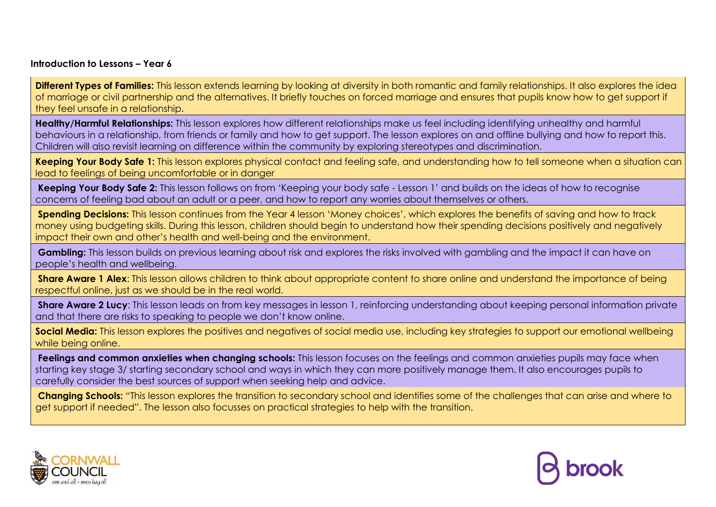**Different Types of Families:** This lesson extends learning by looking at diversity in both romantic and family relationships. It also explores the idea of marriage or civil partnership and the alternatives. It briefly touches on forced marriage and ensures that pupils know how to get support if they feel unsafe in a relationship.

**Healthy/Harmful Relationships:** This lesson explores how different relationships make us feel including identifying unhealthy and harmful behaviours in a relationship, from friends or family and how to get support. The lesson explores on and offline bullying and how to report this. Children will also revisit learning on difference within the community by exploring stereotypes and discrimination.

**Keeping Your Body Safe 1:** This lesson explores physical contact and feeling safe, and understanding how to tell someone when a situation can lead to feelings of being uncomfortable or in danger

**Keeping Your Body Safe 2:** This lesson follows on from 'Keeping your body safe - Lesson 1' and builds on the ideas of how to recognise concerns of feeling bad about an adult or a peer, and how to report any worries about themselves or others.

**Spending Decisions:** This lesson continues from the Year 4 lesson 'Money choices', which explores the benefits of saving and how to track money using budgeting skills. During this lesson, children should begin to understand how their spending decisions positively and negatively impact their own and other's health and well-being and the environment.

**Gambling:** This lesson builds on previous learning about risk and explores the risks involved with gambling and the impact it can have on people's health and wellbeing.

**Share Aware 1 Alex:** This lesson allows children to think about appropriate content to share online and understand the importance of being respectful online, just as we should be in the real world.

**Share Aware 2 Lucy:** This lesson leads on from key messages in lesson 1, reinforcing understanding about keeping personal information private and that there are risks to speaking to people we don't know online.

**Social Media:** This lesson explores the positives and negatives of social media use, including key strategies to support our emotional wellbeing while being online.

**Feelings and common anxieties when changing schools:** This lesson focuses on the feelings and common anxieties pupils may face when starting key stage 3/ starting secondary school and ways in which they can more positively manage them. It also encourages pupils to carefully consider the best sources of support when seeking help and advice.

**Changing Schools:** "This lesson explores the transition to secondary school and identifies some of the challenges that can arise and where to get support if needed". The lesson also focusses on practical strategies to help with the transition.